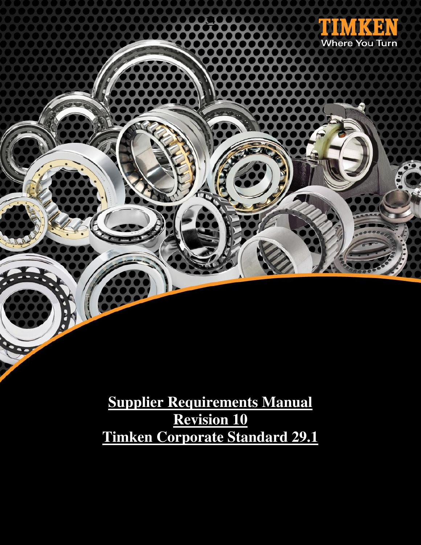

**Supplier Requirements Manual Revision 10 Timken Corporate Standard 29.1**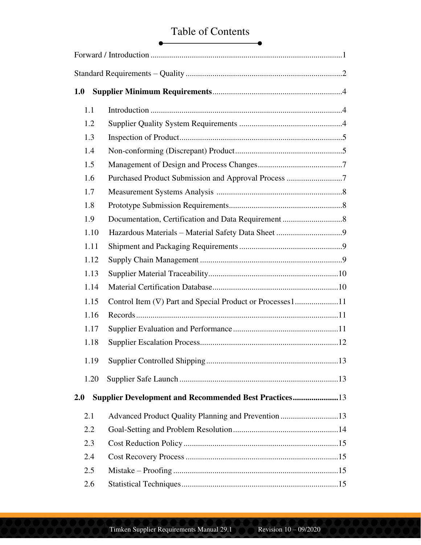## Table of Contents

| 1.0        |                                                       |
|------------|-------------------------------------------------------|
| 1.1        |                                                       |
| 1.2        |                                                       |
| 1.3        |                                                       |
| 1.4        |                                                       |
| 1.5        |                                                       |
| 1.6        | Purchased Product Submission and Approval Process 7   |
| 1.7        |                                                       |
| 1.8        |                                                       |
| 1.9        |                                                       |
| 1.10       |                                                       |
| 1.11       |                                                       |
| 1.12       |                                                       |
| 1.13       |                                                       |
| 1.14       |                                                       |
| 1.15       |                                                       |
| 1.16       |                                                       |
| 1.17       |                                                       |
| 1.18       |                                                       |
| 1.19       |                                                       |
| 1.20       |                                                       |
| <b>2.0</b> | Supplier Development and Recommended Best Practices13 |
| 2.1        |                                                       |
| 2.2        |                                                       |
| 2.3        |                                                       |
| 2.4        |                                                       |
| 2.5        |                                                       |
| 2.6        |                                                       |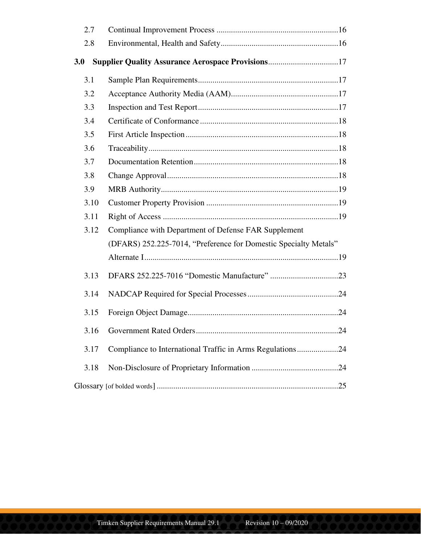|     | 2.7  |                                                                  |  |
|-----|------|------------------------------------------------------------------|--|
|     | 2.8  |                                                                  |  |
| 3.0 |      | <b>Supplier Quality Assurance Aerospace Provisions17</b>         |  |
|     | 3.1  |                                                                  |  |
|     | 3.2  |                                                                  |  |
|     | 3.3  |                                                                  |  |
|     | 3.4  |                                                                  |  |
|     | 3.5  |                                                                  |  |
|     | 3.6  |                                                                  |  |
|     | 3.7  |                                                                  |  |
|     | 3.8  |                                                                  |  |
|     | 3.9  |                                                                  |  |
|     | 3.10 |                                                                  |  |
|     | 3.11 |                                                                  |  |
|     | 3.12 | Compliance with Department of Defense FAR Supplement             |  |
|     |      | (DFARS) 252.225-7014, "Preference for Domestic Specialty Metals" |  |
|     |      |                                                                  |  |
|     | 3.13 |                                                                  |  |
|     | 3.14 |                                                                  |  |
|     | 3.15 |                                                                  |  |
|     |      | $\dots$ 24                                                       |  |
|     | 3.17 | Compliance to International Traffic in Arms Regulations24        |  |
|     | 3.18 |                                                                  |  |
|     |      |                                                                  |  |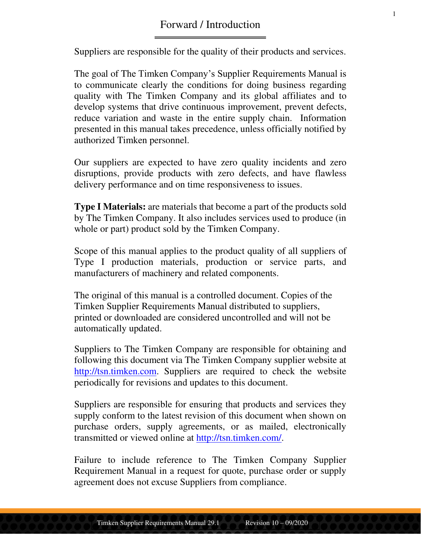1

Suppliers are responsible for the quality of their products and services.

The goal of The Timken Company's Supplier Requirements Manual is to communicate clearly the conditions for doing business regarding quality with The Timken Company and its global affiliates and to develop systems that drive continuous improvement, prevent defects, reduce variation and waste in the entire supply chain. Information presented in this manual takes precedence, unless officially notified by authorized Timken personnel.

Our suppliers are expected to have zero quality incidents and zero disruptions, provide products with zero defects, and have flawless delivery performance and on time responsiveness to issues.

**Type I Materials:** are materials that become a part of the products sold by The Timken Company. It also includes services used to produce (in whole or part) product sold by the Timken Company.

Scope of this manual applies to the product quality of all suppliers of Type I production materials, production or service parts, and manufacturers of machinery and related components.

The original of this manual is a controlled document. Copies of the Timken Supplier Requirements Manual distributed to suppliers, printed or downloaded are considered uncontrolled and will not be automatically updated.

Suppliers to The Timken Company are responsible for obtaining and following this document via The Timken Company supplier website at [http://tsn.timken.com.](http://tsn.timken.com/) Suppliers are required to check the website periodically for revisions and updates to this document.

Suppliers are responsible for ensuring that products and services they supply conform to the latest revision of this document when shown on purchase orders, supply agreements, or as mailed, electronically transmitted or viewed online at [http://tsn.timken.com/.](http://tsn.timken.com/)

Failure to include reference to The Timken Company Supplier Requirement Manual in a request for quote, purchase order or supply agreement does not excuse Suppliers from compliance.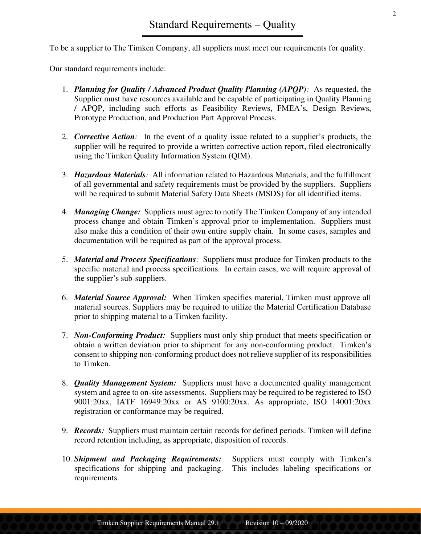To be a supplier to The Timken Company, all suppliers must meet our requirements for quality.

Our standard requirements include:

- 1. *Planning for Quality / Advanced Product Quality Planning (APQP):*As requested, the Supplier must have resources available and be capable of participating in Quality Planning / APQP, including such efforts as Feasibility Reviews, FMEA's, Design Reviews, Prototype Production, and Production Part Approval Process.
- 2. *Corrective Action:*In the event of a quality issue related to a supplier's products, the supplier will be required to provide a written corrective action report, filed electronically using the Timken Quality Information System (QIM).
- 3. *Hazardous Materials:* All information related to Hazardous Materials, and the fulfillment of all governmental and safety requirements must be provided by the suppliers. Suppliers will be required to submit Material Safety Data Sheets (MSDS) for all identified items.
- 4. *Managing Change:*Suppliers must agree to notify The Timken Company of any intended process change and obtain Timken's approval prior to implementation. Suppliers must also make this a condition of their own entire supply chain. In some cases, samples and documentation will be required as part of the approval process.
- 5. *Material and Process Specifications:*Suppliers must produce for Timken products to the specific material and process specifications. In certain cases, we will require approval of the supplier's sub-suppliers.
- 6. *Material Source Approval:*When Timken specifies material, Timken must approve all material sources. Suppliers may be required to utilize the Material Certification Database prior to shipping material to a Timken facility.
- 7. *Non-Conforming Product:*Suppliers must only ship product that meets specification or obtain a written deviation prior to shipment for any non-conforming product. Timken's consent to shipping non-conforming product does not relieve supplier of its responsibilities to Timken.
- 8. *Quality Management System:*Suppliers must have a documented quality management system and agree to on-site assessments. Suppliers may be required to be registered to ISO 9001:20xx, IATF 16949:20xx or AS 9100:20xx. As appropriate, ISO 14001:20xx registration or conformance may be required.
- 9. *Records:*Suppliers must maintain certain records for defined periods. Timken will define record retention including, as appropriate, disposition of records.
- 10. *Shipment and Packaging Requirements:*Suppliers must comply with Timken's specifications for shipping and packaging. This includes labeling specifications or requirements.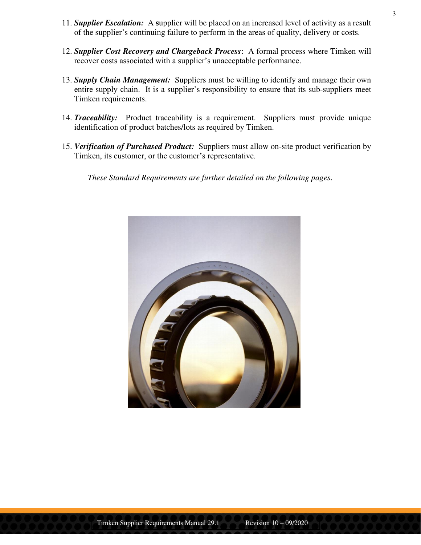- 11. *Supplier Escalation:*A **s**upplier will be placed on an increased level of activity as a result of the supplier's continuing failure to perform in the areas of quality, delivery or costs.
- 12. *Supplier Cost Recovery and Chargeback Process*: A formal process where Timken will recover costs associated with a supplier's unacceptable performance.
- 13. *Supply Chain Management:*Suppliers must be willing to identify and manage their own entire supply chain. It is a supplier's responsibility to ensure that its sub-suppliers meet Timken requirements.
- 14. *Traceability:*Product traceability is a requirement. Suppliers must provide unique identification of product batches/lots as required by Timken.
- 15. *Verification of Purchased Product:*Suppliers must allow on-site product verification by Timken, its customer, or the customer's representative.

*These Standard Requirements are further detailed on the following pages.*

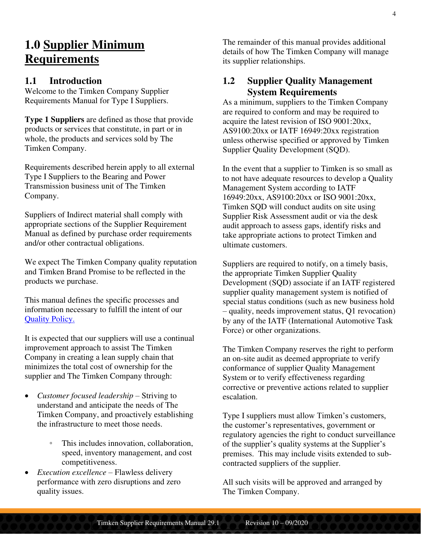## **1.0 Supplier Minimum Requirements**

#### **1.1 Introduction**

Welcome to the Timken Company Supplier Requirements Manual for Type I Suppliers.

**Type 1 Suppliers** are defined as those that provide products or services that constitute, in part or in whole, the products and services sold by The Timken Company.

Requirements described herein apply to all external Type I Suppliers to the Bearing and Power Transmission business unit of The Timken Company.

Suppliers of Indirect material shall comply with appropriate sections of the Supplier Requirement Manual as defined by purchase order requirements and/or other contractual obligations.

We expect The Timken Company quality reputation and Timken Brand Promise to be reflected in the products we purchase.

This manual defines the specific processes and information necessary to fulfill the intent of our [Quality Policy.](http://tsn.timken.com/Quality_Policy.pdf)

It is expected that our suppliers will use a continual improvement approach to assist The Timken Company in creating a lean supply chain that minimizes the total cost of ownership for the supplier and The Timken Company through:

- *Customer focused leadership* Striving to understand and anticipate the needs of The Timken Company, and proactively establishing the infrastructure to meet those needs.
	- This includes innovation, collaboration, speed, inventory management, and cost competitiveness.
- *Execution excellence* Flawless delivery performance with zero disruptions and zero quality issues.

The remainder of this manual provides additional details of how The Timken Company will manage its supplier relationships.

#### **1.2 Supplier Quality Management System Requirements**

As a minimum, suppliers to the Timken Company are required to conform and may be required to acquire the latest revision of ISO 9001:20xx, AS9100:20xx or IATF 16949:20xx registration unless otherwise specified or approved by Timken Supplier Quality Development (SQD).

In the event that a supplier to Timken is so small as to not have adequate resources to develop a Quality Management System according to IATF 16949:20xx, AS9100:20xx or ISO 9001:20xx, Timken SQD will conduct audits on site using Supplier Risk Assessment audit or via the desk audit approach to assess gaps, identify risks and take appropriate actions to protect Timken and ultimate customers.

Suppliers are required to notify, on a timely basis, the appropriate Timken Supplier Quality Development (SQD) associate if an IATF registered supplier quality management system is notified of special status conditions (such as new business hold – quality, needs improvement status, Q1 revocation) by any of the IATF (International Automotive Task Force) or other organizations.

The Timken Company reserves the right to perform an on-site audit as deemed appropriate to verify conformance of supplier Quality Management System or to verify effectiveness regarding corrective or preventive actions related to supplier escalation.

Type I suppliers must allow Timken's customers, the customer's representatives, government or regulatory agencies the right to conduct surveillance of the supplier's quality systems at the Supplier's premises. This may include visits extended to subcontracted suppliers of the supplier.

All such visits will be approved and arranged by The Timken Company.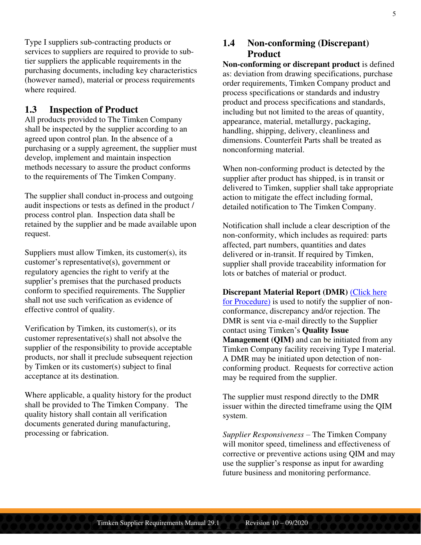Type I suppliers sub-contracting products or services to suppliers are required to provide to subtier suppliers the applicable requirements in the purchasing documents, including key characteristics (however named), material or process requirements where required.

#### **1.3 Inspection of Product**

All products provided to The Timken Company shall be inspected by the supplier according to an agreed upon control plan. In the absence of a purchasing or a supply agreement, the supplier must develop, implement and maintain inspection methods necessary to assure the product conforms to the requirements of The Timken Company.

The supplier shall conduct in-process and outgoing audit inspections or tests as defined in the product / process control plan. Inspection data shall be retained by the supplier and be made available upon request.

Suppliers must allow Timken, its customer(s), its customer's representative(s), government or regulatory agencies the right to verify at the supplier's premises that the purchased products conform to specified requirements. The Supplier shall not use such verification as evidence of effective control of quality.

Verification by Timken, its customer(s), or its customer representative(s) shall not absolve the supplier of the responsibility to provide acceptable products, nor shall it preclude subsequent rejection by Timken or its customer(s) subject to final acceptance at its destination.

Where applicable, a quality history for the product shall be provided to The Timken Company. The quality history shall contain all verification documents generated during manufacturing, processing or fabrication.

#### **1.4 Non-conforming (Discrepant) Product**

**Non-conforming or discrepant product** is defined as: deviation from drawing specifications, purchase order requirements, Timken Company product and process specifications or standards and industry product and process specifications and standards, including but not limited to the areas of quantity, appearance, material, metallurgy, packaging, handling, shipping, delivery, cleanliness and dimensions. Counterfeit Parts shall be treated as nonconforming material.

When non-conforming product is detected by the supplier after product has shipped, is in transit or delivered to Timken, supplier shall take appropriate action to mitigate the effect including formal, detailed notification to The Timken Company.

Notification shall include a clear description of the non-conformity, which includes as required: parts affected, part numbers, quantities and dates delivered or in-transit. If required by Timken, supplier shall provide traceability information for lots or batches of material or product.

#### **Discrepant Material Report (DMR)** [\(Click here](http://tsn.timken.com/SupplierNon-ConformingProduct.pdf)

[for Procedure\)](http://tsn.timken.com/SupplierNon-ConformingProduct.pdf) is used to notify the supplier of nonconformance, discrepancy and/or rejection. The DMR is sent via e-mail directly to the Supplier contact using Timken's **Quality Issue Management (QIM)** and can be initiated from any Timken Company facility receiving Type I material. A DMR may be initiated upon detection of nonconforming product. Requests for corrective action may be required from the supplier.

The supplier must respond directly to the DMR issuer within the directed timeframe using the QIM system.

*Supplier Responsiveness* – The Timken Company will monitor speed, timeliness and effectiveness of corrective or preventive actions using QIM and may use the supplier's response as input for awarding future business and monitoring performance.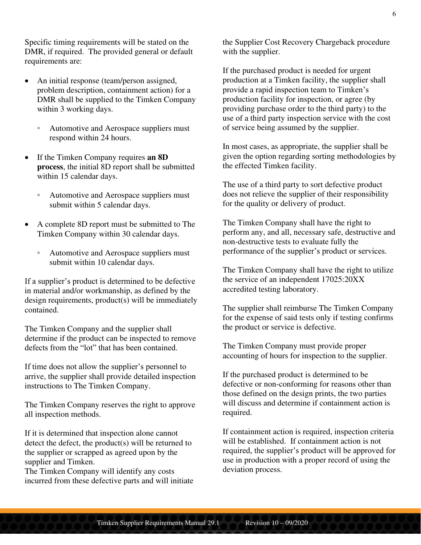Specific timing requirements will be stated on the DMR, if required. The provided general or default requirements are:

- An initial response (team/person assigned, problem description, containment action) for a DMR shall be supplied to the Timken Company within 3 working days.
	- Automotive and Aerospace suppliers must respond within 24 hours.
- If the Timken Company requires **an 8D process**, the initial 8D report shall be submitted within 15 calendar days.
	- Automotive and Aerospace suppliers must submit within 5 calendar days.
- A complete 8D report must be submitted to The Timken Company within 30 calendar days.
	- Automotive and Aerospace suppliers must submit within 10 calendar days.

If a supplier's product is determined to be defective in material and/or workmanship, as defined by the design requirements, product(s) will be immediately contained.

The Timken Company and the supplier shall determine if the product can be inspected to remove defects from the "lot" that has been contained.

If time does not allow the supplier's personnel to arrive, the supplier shall provide detailed inspection instructions to The Timken Company.

The Timken Company reserves the right to approve all inspection methods.

If it is determined that inspection alone cannot detect the defect, the product(s) will be returned to the supplier or scrapped as agreed upon by the supplier and Timken.

The Timken Company will identify any costs incurred from these defective parts and will initiate the Supplier Cost Recovery Chargeback procedure with the supplier.

If the purchased product is needed for urgent production at a Timken facility, the supplier shall provide a rapid inspection team to Timken's production facility for inspection, or agree (by providing purchase order to the third party) to the use of a third party inspection service with the cost of service being assumed by the supplier.

In most cases, as appropriate, the supplier shall be given the option regarding sorting methodologies by the effected Timken facility.

The use of a third party to sort defective product does not relieve the supplier of their responsibility for the quality or delivery of product.

The Timken Company shall have the right to perform any, and all, necessary safe, destructive and non-destructive tests to evaluate fully the performance of the supplier's product or services.

The Timken Company shall have the right to utilize the service of an independent 17025:20XX accredited testing laboratory.

The supplier shall reimburse The Timken Company for the expense of said tests only if testing confirms the product or service is defective.

The Timken Company must provide proper accounting of hours for inspection to the supplier.

If the purchased product is determined to be defective or non-conforming for reasons other than those defined on the design prints, the two parties will discuss and determine if containment action is required.

If containment action is required, inspection criteria will be established. If containment action is not required, the supplier's product will be approved for use in production with a proper record of using the deviation process.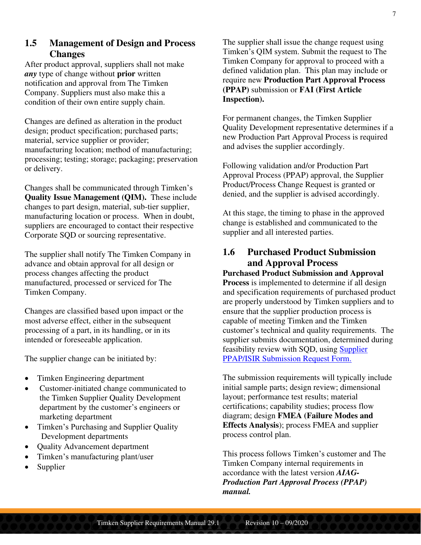#### **1.5 Management of Design and Process Changes**

After product approval, suppliers shall not make *any* type of change without **prior** written notification and approval from The Timken Company. Suppliers must also make this a condition of their own entire supply chain.

Changes are defined as alteration in the product design; product specification; purchased parts; material, service supplier or provider; manufacturing location; method of manufacturing; processing; testing; storage; packaging; preservation or delivery.

Changes shall be communicated through Timken's **Quality Issue Management (QIM).** These include changes to part design, material, sub-tier supplier, manufacturing location or process. When in doubt, suppliers are encouraged to contact their respective Corporate SQD or sourcing representative.

The supplier shall notify The Timken Company in advance and obtain approval for all design or process changes affecting the product manufactured, processed or serviced for The Timken Company.

Changes are classified based upon impact or the most adverse effect, either in the subsequent processing of a part, in its handling, or in its intended or foreseeable application.

The supplier change can be initiated by:

- Timken Engineering department
- Customer-initiated change communicated to the Timken Supplier Quality Development department by the customer's engineers or marketing department
- Timken's Purchasing and Supplier Quality Development departments
- Quality Advancement department
- Timken's manufacturing plant/user
- **Supplier**

The supplier shall issue the change request using Timken's QIM system. Submit the request to The Timken Company for approval to proceed with a defined validation plan. This plan may include or require new **Production Part Approval Process (PPAP)** submission or **FAI (First Article Inspection).**

For permanent changes, the Timken Supplier Quality Development representative determines if a new Production Part Approval Process is required and advises the supplier accordingly.

Following validation and/or Production Part Approval Process (PPAP) approval, the Supplier Product/Process Change Request is granted or denied, and the supplier is advised accordingly.

At this stage, the timing to phase in the approved change is established and communicated to the supplier and all interested parties.

#### **1.6 Purchased Product Submission and Approval Process**

**Purchased Product Submission and Approval Process** is implemented to determine if all design and specification requirements of purchased product are properly understood by Timken suppliers and to ensure that the supplier production process is capable of meeting Timken and the Timken customer's technical and quality requirements. The supplier submits documentation, determined during feasibility review with SQD, using [Supplier](http://tsn.timken.com/Supplier%20PPAP.htm)  [PPAP/ISIR Submission Request Form.](http://tsn.timken.com/Supplier%20PPAP.htm)

The submission requirements will typically include initial sample parts; design review; dimensional layout; performance test results; material certifications; capability studies; process flow diagram; design **FMEA (Failure Modes and Effects Analysis**); process FMEA and supplier process control plan.

This process follows Timken's customer and The Timken Company internal requirements in accordance with the latest version *AIAG-Production Part Approval Process (PPAP) manual.*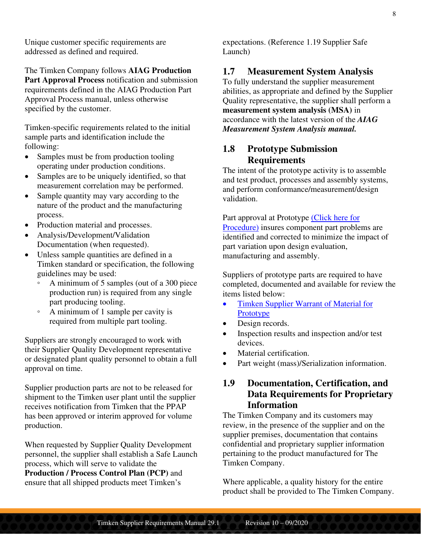Unique customer specific requirements are addressed as defined and required.

The Timken Company follows **AIAG Production Part Approval Process** notification and submission requirements defined in the AIAG Production Part Approval Process manual, unless otherwise specified by the customer.

Timken-specific requirements related to the initial sample parts and identification include the following:

- Samples must be from production tooling operating under production conditions.
- Samples are to be uniquely identified, so that measurement correlation may be performed.
- Sample quantity may vary according to the nature of the product and the manufacturing process.
- Production material and processes.
- Analysis/Development/Validation Documentation (when requested).
- Unless sample quantities are defined in a Timken standard or specification, the following guidelines may be used:
	- A minimum of 5 samples (out of a 300 piece production run) is required from any single part producing tooling.
	- A minimum of 1 sample per cavity is required from multiple part tooling.

Suppliers are strongly encouraged to work with their Supplier Quality Development representative or designated plant quality personnel to obtain a full approval on time.

Supplier production parts are not to be released for shipment to the Timken user plant until the supplier receives notification from Timken that the PPAP has been approved or interim approved for volume production.

When requested by Supplier Quality Development personnel, the supplier shall establish a Safe Launch process, which will serve to validate the **Production / Process Control Plan (PCP)** and ensure that all shipped products meet Timken's

expectations. (Reference 1.19 Supplier Safe Launch)

#### **1.7 Measurement System Analysis**

To fully understand the supplier measurement abilities, as appropriate and defined by the Supplier Quality representative, the supplier shall perform a **measurement system analysis (MSA)** in accordance with the latest version of the *AIAG Measurement System Analysis manual.* 

#### **1.8 Prototype Submission Requirements**

The intent of the prototype activity is to assemble and test product, processes and assembly systems, and perform conformance/measurement/design validation.

Part approval at Prototype [\(Click here for](http://tsn.timken.com/PurchasedProductForPrototype.pdf)  [Procedure\)](http://tsn.timken.com/PurchasedProductForPrototype.pdf) insures component part problems are identified and corrected to minimize the impact of part variation upon design evaluation, manufacturing and assembly.

Suppliers of prototype parts are required to have completed, documented and available for review the items listed below:

- Timken Supplier Warrant of Material for [Prototype](http://tsn.timken.com/PrototypeSubmission.pdf)
- Design records.
- Inspection results and inspection and/or test devices.
- Material certification.
- Part weight (mass)/Serialization information.

#### **1.9 Documentation, Certification, and Data Requirements for Proprietary Information**

The Timken Company and its customers may review, in the presence of the supplier and on the supplier premises, documentation that contains confidential and proprietary supplier information pertaining to the product manufactured for The Timken Company.

Where applicable, a quality history for the entire product shall be provided to The Timken Company.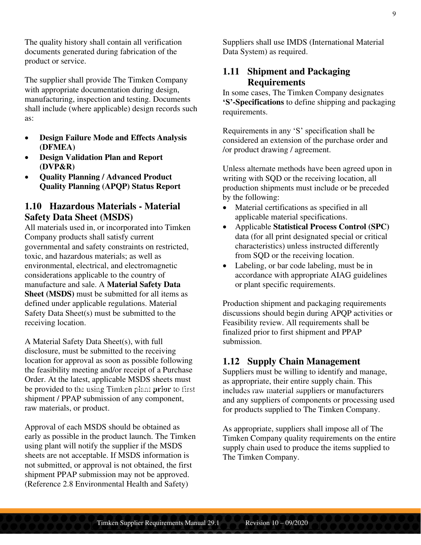The quality history shall contain all verification documents generated during fabrication of the product or service.

The supplier shall provide The Timken Company with appropriate documentation during design, manufacturing, inspection and testing. Documents shall include (where applicable) design records such as:

- **Design Failure Mode and Effects Analysis (DFMEA)**
- **Design Validation Plan and Report (DVP&R)**
- **Quality Planning / Advanced Product Quality Planning (APQP) Status Report**

#### **1.10 Hazardous Materials - Material Safety Data Sheet (MSDS)**

All materials used in, or incorporated into Timken Company products shall satisfy current governmental and safety constraints on restricted, toxic, and hazardous materials; as well as environmental, electrical, and electromagnetic considerations applicable to the country of manufacture and sale. A **Material Safety Data Sheet (MSDS)** must be submitted for all items as defined under applicable regulations. Material Safety Data Sheet(s) must be submitted to the receiving location.

A Material Safety Data Sheet(s), with full disclosure, must be submitted to the receiving location for approval as soon as possible following the feasibility meeting and/or receipt of a Purchase Order. At the latest, applicable MSDS sheets must be provided to the using Timken plant prior to first includes raw material suppl shipment / PPAP submission of any component, raw materials, or product.

Approval of each MSDS should be obtained as early as possible in the product launch. The Timken using plant will notify the supplier if the MSDS sheets are not acceptable. If MSDS information is not submitted, or approval is not obtained, the first shipment PPAP submission may not be approved. (Reference 2.8 Environmental Health and Safety)

Suppliers shall use IMDS (International Material Data System) as required.

#### **1.11 Shipment and Packaging Requirements**

In some cases, The Timken Company designates **'S'-Specifications** to define shipping and packaging requirements.

Requirements in any 'S' specification shall be considered an extension of the purchase order and /or product drawing / agreement.

Unless alternate methods have been agreed upon in writing with SQD or the receiving location, all production shipments must include or be preceded by the following:

- Material certifications as specified in all applicable material specifications.
- Applicable **Statistical Process Control (SPC)** data (for all print designated special or critical characteristics) unless instructed differently from SQD or the receiving location.
- Labeling, or bar code labeling, must be in accordance with appropriate AIAG guidelines or plant specific requirements.

Production shipment and packaging requirements discussions should begin during APQP activities or Feasibility review. All requirements shall be finalized prior to first shipment and PPAP submission.

#### **1.12 Supply Chain Management**

Suppliers must be willing to identify and manage, as appropriate, their entire supply chain. This includes raw material suppliers or manufacturers and any suppliers of components or processing used for products supplied to The Timken Company.

As appropriate, suppliers shall impose all of The Timken Company quality requirements on the entire supply chain used to produce the items supplied to The Timken Company.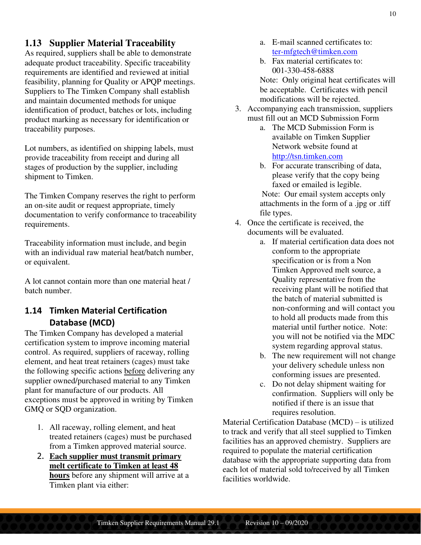#### **1.13 Supplier Material Traceability**

As required, suppliers shall be able to demonstrate adequate product traceability. Specific traceability requirements are identified and reviewed at initial feasibility, planning for Quality or APQP meetings. Suppliers to The Timken Company shall establish and maintain documented methods for unique identification of product, batches or lots, including product marking as necessary for identification or traceability purposes.

Lot numbers, as identified on shipping labels, must provide traceability from receipt and during all stages of production by the supplier, including shipment to Timken.

The Timken Company reserves the right to perform an on-site audit or request appropriate, timely documentation to verify conformance to traceability requirements.

Traceability information must include, and begin with an individual raw material heat/batch number, or equivalent.

A lot cannot contain more than one material heat / batch number.

#### **1.14 Timken Material Certification Database (MCD)**

The Timken Company has developed a material certification system to improve incoming material control. As required, suppliers of raceway, rolling element, and heat treat retainers (cages) must take the following specific actions before delivering any supplier owned/purchased material to any Timken plant for manufacture of our products. All exceptions must be approved in writing by Timken GMQ or SQD organization.

- 1. All raceway, rolling element, and heat treated retainers (cages) must be purchased from a Timken approved material source.
- 2. **Each supplier must transmit primary melt certificate to Timken at least 48 hours** before any shipment will arrive at a Timken plant via either:
- a. E-mail scanned certificates to: [ter-mfgtech@timken.com](mailto:ter-mfgtech@timken.com)
- b. Fax material certificates to: 001-330-458-6888

Note: Only original heat certificates will be acceptable. Certificates with pencil modifications will be rejected.

- 3. Accompanying each transmission, suppliers must fill out an MCD Submission Form
	- a. The MCD Submission Form is available on Timken Supplier Network website found at [http://tsn.timken.com](http://tsn.timken.com/)
	- b. For accurate transcribing of data, please verify that the copy being faxed or emailed is legible. Note: Our email system accepts only attachments in the form of a .jpg or .tiff file types.
- 4. Once the certificate is received, the documents will be evaluated.
	- a. If material certification data does not conform to the appropriate specification or is from a Non Timken Approved melt source, a Quality representative from the receiving plant will be notified that the batch of material submitted is non-conforming and will contact you to hold all products made from this material until further notice. Note: you will not be notified via the MDC system regarding approval status.
	- b. The new requirement will not change your delivery schedule unless non conforming issues are presented.
	- c. Do not delay shipment waiting for confirmation. Suppliers will only be notified if there is an issue that requires resolution.

Material Certification Database (MCD) – is utilized to track and verify that all steel supplied to Timken facilities has an approved chemistry. Suppliers are required to populate the material certification database with the appropriate supporting data from each lot of material sold to/received by all Timken facilities worldwide.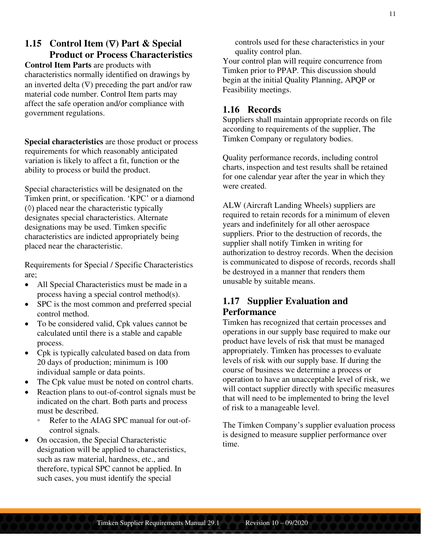#### **1.15 Control Item () Part & Special Product or Process Characteristics**

**Control Item Parts** are products with characteristics normally identified on drawings by an inverted delta  $(\nabla)$  preceding the part and/or raw material code number. Control Item parts may affect the safe operation and/or compliance with government regulations.

**Special characteristics** are those product or process requirements for which reasonably anticipated variation is likely to affect a fit, function or the ability to process or build the product.

Special characteristics will be designated on the Timken print, or specification. 'KPC' or a diamond  $(\Diamond)$  placed near the characteristic typically designates special characteristics. Alternate designations may be used. Timken specific characteristics are indicted appropriately being placed near the characteristic.

Requirements for Special / Specific Characteristics are;

- All Special Characteristics must be made in a process having a special control method(s).
- SPC is the most common and preferred special control method.
- To be considered valid, Cpk values cannot be calculated until there is a stable and capable process.
- Cpk is typically calculated based on data from 20 days of production; minimum is 100 individual sample or data points.
- The Cpk value must be noted on control charts.
- Reaction plans to out-of-control signals must be indicated on the chart. Both parts and process must be described.
	- Refer to the AIAG SPC manual for out-ofcontrol signals.
- On occasion, the Special Characteristic designation will be applied to characteristics, such as raw material, hardness, etc., and therefore, typical SPC cannot be applied. In such cases, you must identify the special

controls used for these characteristics in your quality control plan.

Your control plan will require concurrence from Timken prior to PPAP. This discussion should begin at the initial Quality Planning, APQP or Feasibility meetings.

#### **1.16 Records**

Suppliers shall maintain appropriate records on file according to requirements of the supplier, The Timken Company or regulatory bodies.

Quality performance records, including control charts, inspection and test results shall be retained for one calendar year after the year in which they were created.

ALW (Aircraft Landing Wheels) suppliers are required to retain records for a minimum of eleven years and indefinitely for all other aerospace suppliers. Prior to the destruction of records, the supplier shall notify Timken in writing for authorization to destroy records. When the decision is communicated to dispose of records, records shall be destroyed in a manner that renders them unusable by suitable means.

#### **1.17 Supplier Evaluation and Performance**

Timken has recognized that certain processes and operations in our supply base required to make our product have levels of risk that must be managed appropriately. Timken has processes to evaluate levels of risk with our supply base. If during the course of business we determine a process or operation to have an unacceptable level of risk, we will contact supplier directly with specific measures that will need to be implemented to bring the level of risk to a manageable level.

The Timken Company's supplier evaluation process is designed to measure supplier performance over time.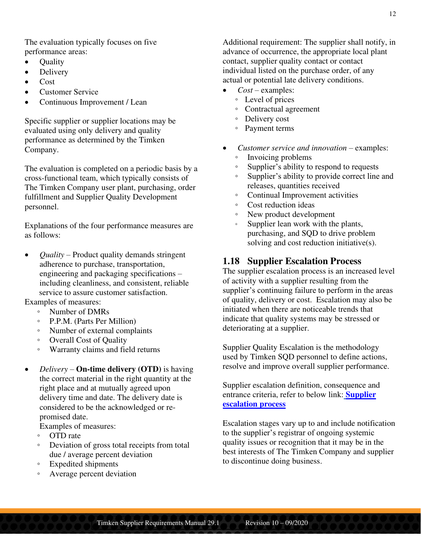The evaluation typically focuses on five performance areas:

- Quality
- Delivery
- Cost
- Customer Service
- Continuous Improvement / Lean

Specific supplier or supplier locations may be evaluated using only delivery and quality performance as determined by the Timken Company.

The evaluation is completed on a periodic basis by a cross-functional team, which typically consists of The Timken Company user plant, purchasing, order fulfillment and Supplier Quality Development personnel.

Explanations of the four performance measures are as follows: Revision 7 – 06/2011 – 06/2011 – 06/2012 – 06/2012 – 06/2012 – 07/2012 – 07/2012 – 07/2012 – 07/2012 – 07/2012

> • *Quality* – Product quality demands stringent adherence to purchase, transportation, engineering and packaging specifications – including cleanliness, and consistent, reliable service to assure customer satisfaction.

Examples of measures:

- Number of DMRs
- P.P.M. (Parts Per Million)
- Number of external complaints
- Overall Cost of Quality
- Warranty claims and field returns
- *Delivery* **On-time delivery (OTD)** is having the correct material in the right quantity at the right place and at mutually agreed upon delivery time and date. The delivery date is considered to be the acknowledged or repromised date.

Examples of measures:

- OTD rate
- Deviation of gross total receipts from total due / average percent deviation
- Expedited shipments
- Average percent deviation

Additional requirement: The supplier shall notify, in advance of occurrence, the appropriate local plant contact, supplier quality contact or contact individual listed on the purchase order, of any actual or potential late delivery conditions.

- *Cost* examples:
	- Level of prices
	- Contractual agreement  $\frac{1}{2}$
	- Delivery cost
	- Payment terms
- *Customer service and innovation* examples: ◦ Invoicing problems
	- Supplier's ability to respond to requests
	- Supplier's ability to provide correct line and releases, quantities received
	- Continual Improvement activities
	- Cost reduction ideas
	- New product development
	- Supplier lean work with the plants, purchasing, and SQD to drive problem solving and cost reduction initiative(s).

#### **1.18 Supplier Escalation Process**

The supplier escalation process is an increased level of activity with a supplier resulting from the supplier's continuing failure to perform in the areas of quality, delivery or cost. Escalation may also be initiated when there are noticeable trends that indicate that quality systems may be stressed or deteriorating at a supplier.

[Supplier Quality Escalation](http://tsn.timken.com/Supplier_Quality_Escalation.pdf) is the methodology used by Timken SQD personnel to define actions, resolve and improve overall supplier performance.

Supplier escalation definition, consequence and entrance criteria, refer to below link: **[Supplier](https://tsn.timken.com/SupplierQualityEscalation.pdf)  [escalation process](https://tsn.timken.com/SupplierQualityEscalation.pdf)**

Escalation stages vary up to and include notification to the supplier's registrar of ongoing systemic quality issues or recognition that it may be in the best interests of The Timken Company and supplier to discontinue doing business.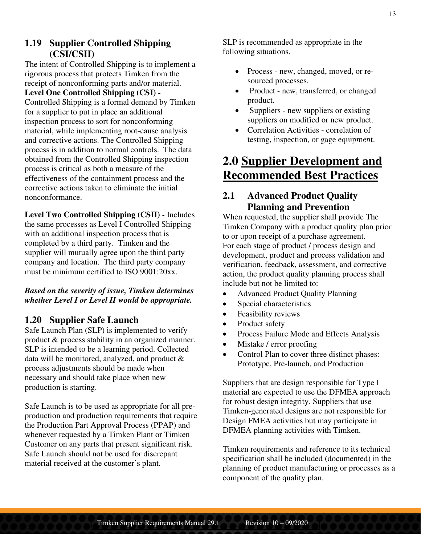#### Safe Launch Plan (SLP) is implemented to verify

**1.20 Supplier Safe Launch** 

**Based on the severity of issue, Timken determines** 

**1.19 Supplier Controlled Shipping** 

**Level One Controlled Shipping (CSI) -** 

for a supplier to put in place an additional inspection process to sort for nonconforming material, while implementing root-cause analysis and corrective actions. The Controlled Shipping process is in addition to normal controls. The data obtained from the Controlled Shipping inspection

process is critical as both a measure of the

with an additional inspection process that is completed by a third party. Timken and the supplier will mutually agree upon the third party company and location. The third party company must be minimum certified to ISO 9001:20xx.

nonconformance.

effectiveness of the containment process and the corrective actions taken to eliminate the initial

**Level Two Controlled Shipping (CSII) -** Includes the same processes as Level I Controlled Shipping

The intent of Controlled Shipping is to implement a rigorous process that protects Timken from the receipt of nonconforming parts and/or material.

Controlled Shipping is a formal demand by Timken

**(CSI/CSII)** 

product & process stability in an organized manner. SLP is intended to be a learning period. Collected data will be monitored, analyzed, and product & process adjustments should be made when necessary and should take place when new production is starting.

*whether Level I or Level II would be appropriate.* 

Safe Launch is to be used as appropriate for all preproduction and production requirements that require the Production Part Approval Process (PPAP) and whenever requested by a Timken Plant or Timken Customer on any parts that present significant risk. Safe Launch should not be used for discrepant material received at the customer's plant.

SLP is recommended as appropriate in the following situations.

- Process new, changed, moved, or resourced processes.
- Product new, transferred, or changed product.
- Suppliers new suppliers or existing suppliers on modified or new product.
- Correlation Activities correlation of testing, inspection, or gage equipment.

### **2.0 Supplier Development and Recommended Best Practices**

#### **2.1 Advanced Product Quality Planning and Prevention**

When requested, the supplier shall provide The Timken Company with a product quality plan prior to or upon receipt of a purchase agreement. For each stage of product / process design and development, product and process validation and  $\overline{r}$  verification, feedback, assessment, and corrective action, the product quality planning process shall include but not be limited to:

- Advanced Product Quality Planning
- Special characteristics
- Feasibility reviews
- Product safety
- Process Failure Mode and Effects Analysis
- Mistake / error proofing
- Control Plan to cover three distinct phases: Prototype, Pre-launch, and Production

Suppliers that are design responsible for Type I material are expected to use the DFMEA approach for robust design integrity. Suppliers that use Timken-generated designs are not responsible for Design FMEA activities but may participate in DFMEA planning activities with Timken.

Timken requirements and reference to its technical specification shall be included (documented) in the planning of product manufacturing or processes as a component of the quality plan.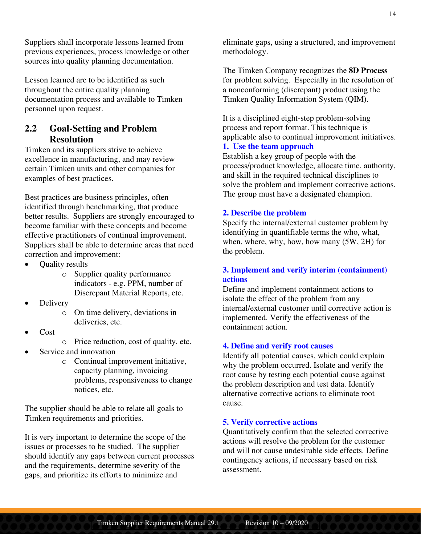Suppliers shall incorporate lessons learned from previous experiences, process knowledge or other sources into quality planning documentation.

Lesson learned are to be identified as such throughout the entire quality planning documentation process and available to Timken personnel upon request.

#### **2.2 Goal-Setting and Problem Resolution**

Timken and its suppliers strive to achieve excellence in manufacturing, and may review certain Timken units and other companies for examples of best practices.

Best practices are business principles, often identified through benchmarking, that produce better results. Suppliers are strongly encouraged to become familiar with these concepts and become effective practitioners of continual improvement. Suppliers shall be able to determine areas that need correction and improvement:

- Quality results
	- o Supplier quality performance indicators - e.g. PPM, number of Discrepant Material Reports, etc.
- **Delivery** 
	- o On time delivery, deviations in deliveries, etc.
- Cost

o Price reduction, cost of quality, etc.

- Service and innovation
	- o Continual improvement initiative, capacity planning, invoicing problems, responsiveness to change notices, etc.

The supplier should be able to relate all goals to Timken requirements and priorities.

It is very important to determine the scope of the issues or processes to be studied. The supplier should identify any gaps between current processes and the requirements, determine severity of the gaps, and prioritize its efforts to minimize and

eliminate gaps, using a structured, and improvement methodology.

The Timken Company recognizes the **8D Process**  for problem solving. Especially in the resolution of a nonconforming (discrepant) product using the Timken Quality Information System (QIM).

It is a disciplined eight-step problem-solving process and report format. This technique is applicable also to continual improvement initiatives.

#### **1. Use the team approach**

Establish a key group of people with the process/product knowledge, allocate time, authority, and skill in the required technical disciplines to solve the problem and implement corrective actions. The group must have a designated champion.

#### **2. Describe the problem**

Specify the internal/external customer problem by identifying in quantifiable terms the who, what, when, where, why, how, how many (5W, 2H) for the problem.

#### **3. Implement and verify interim (containment) actions**

Define and implement containment actions to isolate the effect of the problem from any internal/external customer until corrective action is implemented. Verify the effectiveness of the containment action.

#### **4. Define and verify root causes**

Identify all potential causes, which could explain why the problem occurred. Isolate and verify the root cause by testing each potential cause against the problem description and test data. Identify alternative corrective actions to eliminate root cause.

#### **5. Verify corrective actions**

Quantitatively confirm that the selected corrective actions will resolve the problem for the customer and will not cause undesirable side effects. Define contingency actions, if necessary based on risk assessment.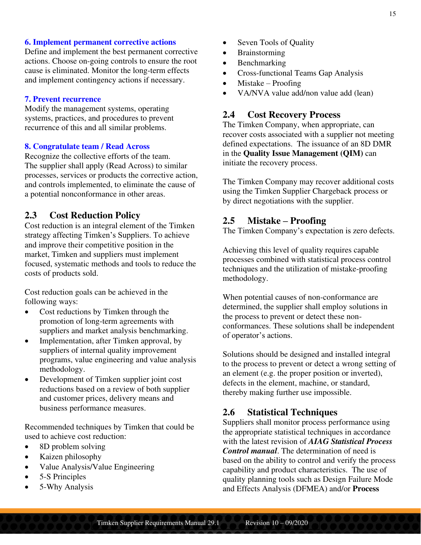#### **6. Implement permanent corrective actions**

Define and implement the best permanent corrective actions. Choose on-going controls to ensure the root cause is eliminated. Monitor the long-term effects and implement contingency actions if necessary.

#### **7. Prevent recurrence**

Modify the management systems, operating systems, practices, and procedures to prevent recurrence of this and all similar problems.

#### **8. Congratulate team / Read Across**

Recognize the collective efforts of the team. The supplier shall apply (Read Across) to similar processes, services or products the corrective action, and controls implemented, to eliminate the cause of a potential nonconformance in other areas.

#### **2.3 Cost Reduction Policy**

Cost reduction is an integral element of the Timken strategy affecting Timken's Suppliers. To achieve and improve their competitive position in the market, Timken and suppliers must implement focused, systematic methods and tools to reduce the costs of products sold.

Cost reduction goals can be achieved in the following ways:

- Cost reductions by Timken through the promotion of long-term agreements with suppliers and market analysis benchmarking.
- Implementation, after Timken approval, by suppliers of internal quality improvement programs, value engineering and value analysis methodology.
- Development of Timken supplier joint cost reductions based on a review of both supplier and customer prices, delivery means and business performance measures.

Recommended techniques by Timken that could be used to achieve cost reduction:

- 8D problem solving
- Kaizen philosophy
- Value Analysis/Value Engineering
- 5-S Principles
- 5-Why Analysis
- Seven Tools of Quality
- Brainstorming
- Benchmarking
- Cross-functional Teams Gap Analysis
- Mistake Proofing
- VA/NVA value add/non value add (lean)

#### **2.4 Cost Recovery Process**

The Timken Company, when appropriate, can recover costs associated with a supplier not meeting defined expectations. The issuance of an 8D DMR in the **Quality Issue Management (QIM)** can initiate the recovery process.

The Timken Company may recover additional costs using the Timken Supplier Chargeback process or by direct negotiations with the supplier.

#### **2.5 Mistake – Proofing**

The Timken Company's expectation is zero defects.

Achieving this level of quality requires capable processes combined with statistical process control techniques and the utilization of mistake-proofing methodology.

When potential causes of non-conformance are determined, the supplier shall employ solutions in the process to prevent or detect these nonconformances. These solutions shall be independent of operator's actions. Timken Supplier Requirements Manual 29.1 Rev –

Solutions should be designed and installed integral to the process to prevent or detect a wrong setting of an element (e.g. the proper position or inverted), defects in the element, machine, or standard, thereby making further use impossible.

#### **2.6 Statistical Techniques**

Suppliers shall monitor process performance using the appropriate statistical techniques in accordance with the latest revision of *AIAG Statistical Process Control manual*. The determination of need is based on the ability to control and verify the process capability and product characteristics. The use of quality planning tools such as Design Failure Mode and Effects Analysis (DFMEA) and/or **Process**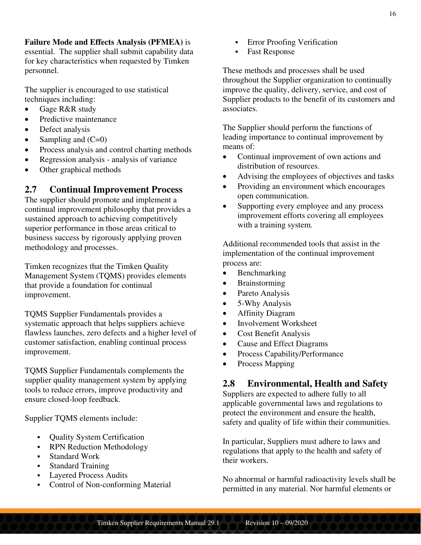#### **Failure Mode and Effects Analysis (PFMEA)** is

essential. The supplier shall submit capability data for key characteristics when requested by Timken personnel.

The supplier is encouraged to use statistical techniques including:

- Gage R&R study
- Predictive maintenance
- Defect analysis
- Sampling and  $(C=0)$
- Process analysis and control charting methods
- Regression analysis analysis of variance
- Other graphical methods

#### **2.7 Continual Improvement Process**

The supplier should promote and implement a continual improvement philosophy that provides a sustained approach to achieving competitively superior performance in those areas critical to business success by rigorously applying proven methodology and processes.

Timken recognizes that the Timken Quality Management System (TQMS) provides elements that provide a foundation for continual improvement.

TQMS Supplier Fundamentals provides a systematic approach that helps suppliers achieve flawless launches, zero defects and a higher level of customer satisfaction, enabling continual process improvement.

TQMS Supplier Fundamentals complements the supplier quality management system by applying tools to reduce errors, improve productivity and ensure closed-loop feedback.

Supplier TQMS elements include:

- Quality System Certification
- **RPN Reduction Methodology**
- **Standard Work**
- Standard Training
- **•** Layered Process Audits
- Control of Non-conforming Material
- **•** Error Proofing Verification
- **Fast Response**

These methods and processes shall be used throughout the Supplier organization to continually improve the quality, delivery, service, and cost of Supplier products to the benefit of its customers and associates.

The Supplier should perform the functions of leading importance to continual improvement by means of:

- Continual improvement of own actions and distribution of resources.
- Advising the employees of objectives and tasks
- Providing an environment which encourages open communication.
- Supporting every employee and any process improvement efforts covering all employees with a training system.

Additional recommended tools that assist in the In the implementation of the continual improvement process are:

- Benchmarking
- Brainstorming
- Pareto Analysis
- 5-Why Analysis
- Affinity Diagram
- Involvement Worksheet
- Cost Benefit Analysis
- Cause and Effect Diagrams
- Process Capability/Performance
- Process Mapping

#### **2.8 Environmental, Health and Safety**

Suppliers are expected to adhere fully to all applicable governmental laws and regulations to protect the environment and ensure the health, safety and quality of life within their communities.

In particular, Suppliers must adhere to laws and regulations that apply to the health and safety of their workers.

No abnormal or harmful radioactivity levels shall be permitted in any material. Nor harmful elements or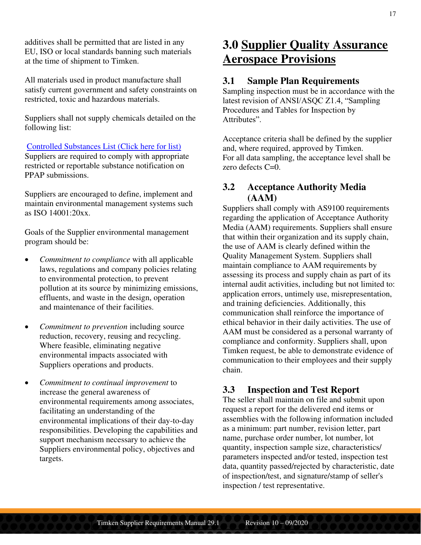additives shall be permitted that are listed in any EU, ISO or local standards banning such materials at the time of shipment to Timken.

All materials used in product manufacture shall satisfy current government and safety constraints on restricted, toxic and hazardous materials.

Suppliers shall not supply chemicals detailed on the following list:

[Controlled Substances List \(Click here for list\)](http://tsn.timken.com/ControlledSubstancesList.pdf) Suppliers are required to comply with appropriate restricted or reportable substance notification on PPAP submissions.

Suppliers are encouraged to define, implement and maintain environmental management systems such as ISO 14001:20xx.

Goals of the Supplier environmental management program should be:

- *Commitment to compliance* with all applicable laws, regulations and company policies relating to environmental protection, to prevent pollution at its source by minimizing emissions, effluents, and waste in the design, operation and maintenance of their facilities.
- *Commitment to prevention* including source reduction, recovery, reusing and recycling. Where feasible, eliminating negative environmental impacts associated with Suppliers operations and products.
- *Commitment to continual improvement* to increase the general awareness of environmental requirements among associates, facilitating an understanding of the environmental implications of their day-to-day responsibilities. Developing the capabilities and support mechanism necessary to achieve the Suppliers environmental policy, objectives and targets.

## **3.0 Supplier Quality Assurance Aerospace Provisions**

#### **3.1 Sample Plan Requirements**

Sampling inspection must be in accordance with the latest revision of ANSI/ASQC Z1.4, "Sampling Procedures and Tables for Inspection by Attributes".

Acceptance criteria shall be defined by the supplier and, where required, approved by Timken. For all data sampling, the acceptance level shall be zero defects C=0.

#### **3.2 Acceptance Authority Media (AAM)**

Suppliers shall comply with AS9100 requirements regarding the application of Acceptance Authority Media (AAM) requirements. Suppliers shall ensure that within their organization and its supply chain, the use of AAM is clearly defined within the Quality Management System. Suppliers shall maintain compliance to AAM requirements by assessing its process and supply chain as part of its internal audit activities, including but not limited to: application errors, untimely use, misrepresentation, and training deficiencies. Additionally, this communication shall reinforce the importance of ethical behavior in their daily activities. The use of AAM must be considered as a personal warranty of compliance and conformity. Suppliers shall, upon Timken request, be able to demonstrate evidence of communication to their employees and their supply chain.

#### **3.3 Inspection and Test Report**

The seller shall maintain on file and submit upon request a report for the delivered end items or assemblies with the following information included as a minimum: part number, revision letter, part name, purchase order number, lot number, lot quantity, inspection sample size, characteristics/ parameters inspected and/or tested, inspection test data, quantity passed/rejected by characteristic, date of inspection/test, and signature/stamp of seller's inspection / test representative.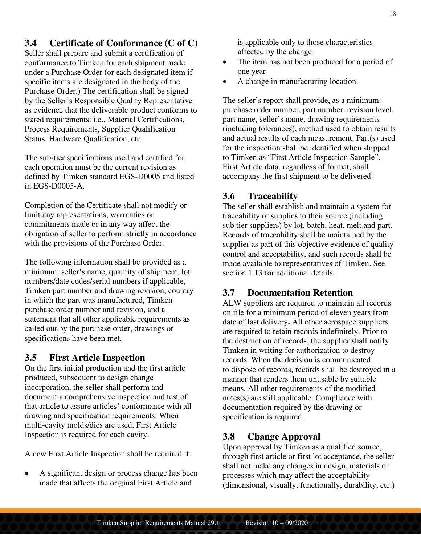#### **3.4 Certificate of Conformance (C of C)**

Seller shall prepare and submit a certification of conformance to Timken for each shipment made under a Purchase Order (or each designated item if specific items are designated in the body of the Purchase Order.) The certification shall be signed by the Seller's Responsible Quality Representative as evidence that the deliverable product conforms to stated requirements: i.e., Material Certifications, Process Requirements, Supplier Qualification Status, Hardware Qualification, etc.

The sub-tier specifications used and certified for each operation must be the current revision as defined by Timken standard EGS-D0005 and listed in EGS-D0005-A.

Completion of the Certificate shall not modify or limit any representations, warranties or commitments made or in any way affect the obligation of seller to perform strictly in accordance with the provisions of the Purchase Order.

The following information shall be provided as a minimum: seller's name, quantity of shipment, lot numbers/date codes/serial numbers if applicable. Timken part number and drawing revision, country in which the part was manufactured, Timken purchase order number and revision, and a statement that all other applicable requirements as called out by the purchase order, drawings or specifications have been met.

#### **3.5 First Article Inspection**

On the first initial production and the first article produced, subsequent to design change incorporation, the seller shall perform and document a comprehensive inspection and test of that article to assure articles' conformance with all drawing and specification requirements. When multi-cavity molds/dies are used, First Article Inspection is required for each cavity.

A new First Article Inspection shall be required if:

• A significant design or process change has been made that affects the original First Article and

is applicable only to those characteristics affected by the change

- The item has not been produced for a period of one year
- A change in manufacturing location.

The seller's report shall provide, as a minimum: purchase order number, part number, revision level, part name, seller's name, drawing requirements (including tolerances), method used to obtain results and actual results of each measurement. Part(s) used for the inspection shall be identified when shipped to Timken as "First Article Inspection Sample". First Article data, regardless of format, shall accompany the first shipment to be delivered.

#### **3.6 Traceability**

The seller shall establish and maintain a system for traceability of supplies to their source (including sub tier suppliers) by lot, batch, heat, melt and part. Records of traceability shall be maintained by the supplier as part of this objective evidence of quality control and acceptability, and such records shall be made available to representatives of Timken. See section 1.13 for additional details.

#### **3.7 Documentation Retention**

ALW suppliers are required to maintain all records on file for a minimum period of eleven years from date of last delivery**.** All other aerospace suppliers are required to retain records indefinitely. Prior to the destruction of records, the supplier shall notify Timken in writing for authorization to destroy records. When the decision is communicated to dispose of records, records shall be destroyed in a manner that renders them unusable by suitable means. All other requirements of the modified notes(s) are still applicable. Compliance with documentation required by the drawing or specification is required.

#### **3.8 Change Approval**

Upon approval by Timken as a qualified source, through first article or first lot acceptance, the seller shall not make any changes in design, materials or processes which may affect the acceptability (dimensional, visually, functionally, durability, etc.)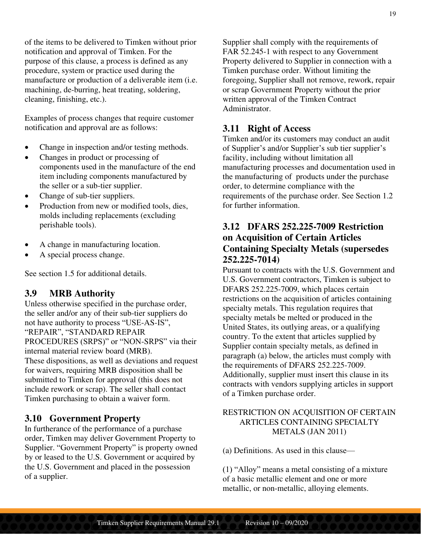of the items to be delivered to Timken without prior notification and approval of Timken. For the purpose of this clause, a process is defined as any procedure, system or practice used during the manufacture or production of a deliverable item (i.e. machining, de-burring, heat treating, soldering, cleaning, finishing, etc.).

Examples of process changes that require customer notification and approval are as follows:

- Change in inspection and/or testing methods.
- Changes in product or processing of components used in the manufacture of the end item including components manufactured by the seller or a sub-tier supplier.
- Change of sub-tier suppliers.
- Production from new or modified tools, dies, molds including replacements (excluding perishable tools).
- A change in manufacturing location.
- A special process change.

See section 1.5 for additional details.

#### **3.9 MRB Authority**

Unless otherwise specified in the purchase order, the seller and/or any of their sub-tier suppliers do not have authority to process "USE-AS-IS", "REPAIR", "STANDARD REPAIR PROCEDURES (SRPS)" or "NON-SRPS" via their internal material review board (MRB). These dispositions, as well as deviations and request for waivers, requiring MRB disposition shall be submitted to Timken for approval (this does not include rework or scrap). The seller shall contact Timken purchasing to obtain a waiver form.

#### **3.10 Government Property**

In furtherance of the performance of a purchase order, Timken may deliver Government Property to Supplier. "Government Property" is property owned by or leased to the U.S. Government or acquired by the U.S. Government and placed in the possession of a supplier.

Supplier shall comply with the requirements of FAR 52.245-1 with respect to any Government Property delivered to Supplier in connection with a Timken purchase order. Without limiting the foregoing, Supplier shall not remove, rework, repair or scrap Government Property without the prior written approval of the Timken Contract Administrator.

#### **3.11 Right of Access**

Timken and/or its customers may conduct an audit of Supplier's and/or Supplier's sub tier supplier's facility, including without limitation all manufacturing processes and documentation used in the manufacturing of products under the purchase order, to determine compliance with the requirements of the purchase order. See Section 1.2 for further information.

#### **3.12 DFARS 252.225-7009 Restriction on Acquisition of Certain Articles Containing Specialty Metals (supersedes 252.225-7014)**

Pursuant to contracts with the U.S. Government and U.S. Government contractors, Timken is subject to DFARS 252.225-7009, which places certain restrictions on the acquisition of articles containing specialty metals. This regulation requires that specialty metals be melted or produced in the United States, its outlying areas, or a qualifying country. To the extent that articles supplied by Supplier contain specialty metals, as defined in paragraph (a) below, the articles must comply with the requirements of DFARS 252.225-7009. Additionally, supplier must insert this clause in its contracts with vendors supplying articles in support of a Timken purchase order.

#### RESTRICTION ON ACQUISITION OF CERTAIN ARTICLES CONTAINING SPECIALTY METALS (JAN 2011)

(a) Definitions. As used in this clause—

(1) "Alloy" means a metal consisting of a mixture of a basic metallic element and one or more metallic, or non-metallic, alloying elements.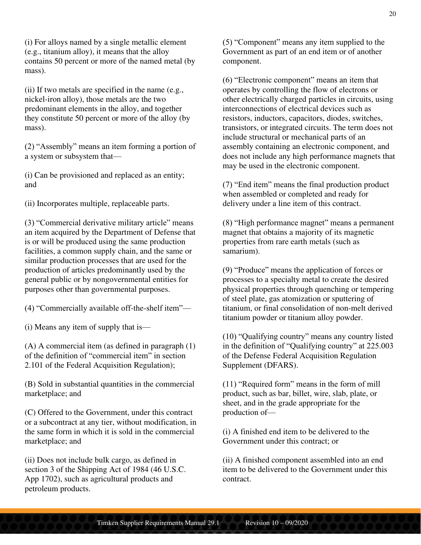(i) For alloys named by a single metallic element (e.g., titanium alloy), it means that the alloy contains 50 percent or more of the named metal (by mass).

(ii) If two metals are specified in the name (e.g., nickel-iron alloy), those metals are the two predominant elements in the alloy, and together they constitute 50 percent or more of the alloy (by mass).

(2) "Assembly" means an item forming a portion of a system or subsystem that—

(i) Can be provisioned and replaced as an entity; and

(ii) Incorporates multiple, replaceable parts.

(3) "Commercial derivative military article" means an item acquired by the Department of Defense that is or will be produced using the same production facilities, a common supply chain, and the same or similar production processes that are used for the production of articles predominantly used by the general public or by nongovernmental entities for purposes other than governmental purposes.

(4) "Commercially available off-the-shelf item"—

(i) Means any item of supply that is—

(A) A commercial item (as defined in paragraph (1) of the definition of "commercial item" in section 2.101 of the Federal Acquisition Regulation);

(B) Sold in substantial quantities in the commercial marketplace; and

(C) Offered to the Government, under this contract or a subcontract at any tier, without modification, in the same form in which it is sold in the commercial marketplace; and

(ii) Does not include bulk cargo, as defined in section 3 of the Shipping Act of 1984 (46 U.S.C. App 1702), such as agricultural products and petroleum products.

(5) "Component" means any item supplied to the Government as part of an end item or of another component.

(6) "Electronic component" means an item that operates by controlling the flow of electrons or other electrically charged particles in circuits, using interconnections of electrical devices such as resistors, inductors, capacitors, diodes, switches, transistors, or integrated circuits. The term does not include structural or mechanical parts of an assembly containing an electronic component, and does not include any high performance magnets that may be used in the electronic component.

(7) "End item" means the final production product when assembled or completed and ready for delivery under a line item of this contract.

(8) "High performance magnet" means a permanent magnet that obtains a majority of its magnetic properties from rare earth metals (such as samarium).

(9) "Produce" means the application of forces or processes to a specialty metal to create the desired physical properties through quenching or tempering of steel plate, gas atomization or sputtering of titanium, or final consolidation of non-melt derived titanium powder or titanium alloy powder.

(10) "Qualifying country" means any country listed in the definition of "Qualifying country" at 225.003 of the Defense Federal Acquisition Regulation Supplement (DFARS).

(11) "Required form" means in the form of mill product, such as bar, billet, wire, slab, plate, or sheet, and in the grade appropriate for the production of—

(i) A finished end item to be delivered to the Government under this contract; or

(ii) A finished component assembled into an end item to be delivered to the Government under this contract.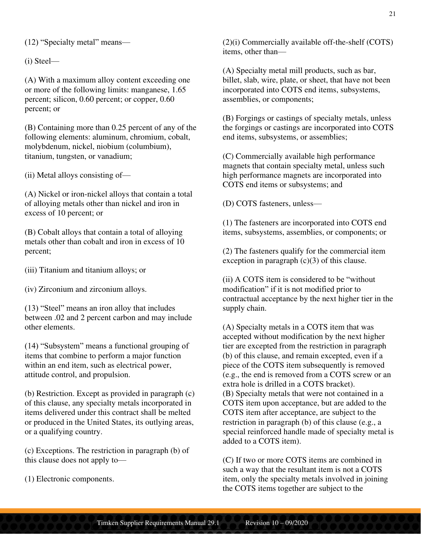Timken Supplier Requirements Manual 29.1 Revision 10 – 09/2020

(1) Electronic components.

this clause does not apply to—

(12) "Specialty metal" means—

(i) Steel—

(A) With a maximum alloy content exceeding one or more of the following limits: manganese, 1.65 percent; silicon, 0.60 percent; or copper, 0.60 percent; or

(B) Containing more than 0.25 percent of any of the following elements: aluminum, chromium, cobalt, molybdenum, nickel, niobium (columbium), titanium, tungsten, or vanadium;

(ii) Metal alloys consisting of—

(A) Nickel or iron-nickel alloys that contain a total of alloying metals other than nickel and iron in excess of 10 percent; or

(B) Cobalt alloys that contain a total of alloying metals other than cobalt and iron in excess of 10 percent;

(iii) Titanium and titanium alloys; or

(iv) Zirconium and zirconium alloys.

(13) "Steel" means an iron alloy that includes between .02 and 2 percent carbon and may include other elements.

(14) "Subsystem" means a functional grouping of items that combine to perform a major function within an end item, such as electrical power, attitude control, and propulsion.

(b) Restriction. Except as provided in paragraph (c) of this clause, any specialty metals incorporated in items delivered under this contract shall be melted or produced in the United States, its outlying areas, or a qualifying country.

(c) Exceptions. The restriction in paragraph (b) of

(2)(i) Commercially available off-the-shelf (COTS) items, other than—

(A) Specialty metal mill products, such as bar, billet, slab, wire, plate, or sheet, that have not been incorporated into COTS end items, subsystems, assemblies, or components;

(B) Forgings or castings of specialty metals, unless the forgings or castings are incorporated into COTS end items, subsystems, or assemblies;

(C) Commercially available high performance magnets that contain specialty metal, unless such high performance magnets are incorporated into COTS end items or subsystems; and

(D) COTS fasteners, unless—

(1) The fasteners are incorporated into COTS end items, subsystems, assemblies, or components; or

(2) The fasteners qualify for the commercial item exception in paragraph  $(c)(3)$  of this clause.

(ii) A COTS item is considered to be "without modification" if it is not modified prior to contractual acceptance by the next higher tier in the supply chain.

(A) Specialty metals in a COTS item that was accepted without modification by the next higher tier are excepted from the restriction in paragraph (b) of this clause, and remain excepted, even if a piece of the COTS item subsequently is removed (e.g., the end is removed from a COTS screw or an extra hole is drilled in a COTS bracket). (B) Specialty metals that were not contained in a COTS item upon acceptance, but are added to the COTS item after acceptance, are subject to the restriction in paragraph (b) of this clause (e.g., a special reinforced handle made of specialty metal is added to a COTS item).

(C) If two or more COTS items are combined in such a way that the resultant item is not a COTS item, only the specialty metals involved in joining the COTS items together are subject to the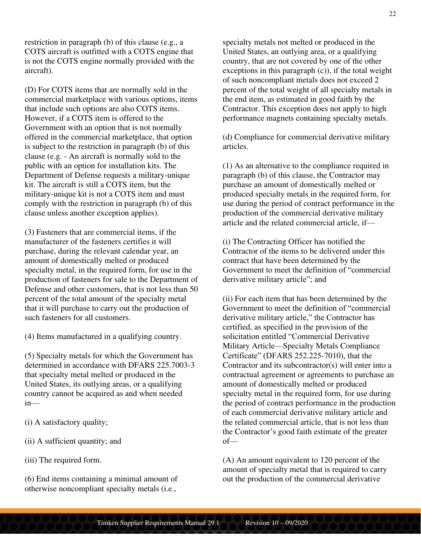restriction in paragraph (b) of this clause (e.g., a COTS aircraft is outfitted with a COTS engine that is not the COTS engine normally provided with the aircraft).

(D) For COTS items that are normally sold in the commercial marketplace with various options, items that include such options are also COTS items. However, if a COTS item is offered to the Government with an option that is not normally offered in the commercial marketplace, that option is subject to the restriction in paragraph (b) of this clause (e.g. - An aircraft is normally sold to the public with an option for installation kits. The Department of Defense requests a military-unique kit. The aircraft is still a COTS item, but the military-unique kit is not a COTS item and must comply with the restriction in paragraph (b) of this clause unless another exception applies).

(3) Fasteners that are commercial items, if the manufacturer of the fasteners certifies it will purchase, during the relevant calendar year, an amount of domestically melted or produced specialty metal, in the required form, for use in the production of fasteners for sale to the Department of Defense and other customers, that is not less than 50 percent of the total amount of the specialty metal that it will purchase to carry out the production of such fasteners for all customers.

(4) Items manufactured in a qualifying country.

(5) Specialty metals for which the Government has determined in accordance with DFARS 225.7003-3 that specialty metal melted or produced in the United States, its outlying areas, or a qualifying country cannot be acquired as and when needed in—

- (i) A satisfactory quality;
- (ii) A sufficient quantity; and
- (iii) The required form.

(6) End items containing a minimal amount of otherwise noncompliant specialty metals (i.e.,

specialty metals not melted or produced in the United States, an outlying area, or a qualifying country, that are not covered by one of the other exceptions in this paragraph (c)), if the total weight of such noncompliant metals does not exceed 2 percent of the total weight of all specialty metals in the end item, as estimated in good faith by the Contractor. This exception does not apply to high performance magnets containing specialty metals.

(d) Compliance for commercial derivative military articles.

(1) As an alternative to the compliance required in paragraph (b) of this clause, the Contractor may purchase an amount of domestically melted or produced specialty metals in the required form, for use during the period of contract performance in the production of the commercial derivative military article and the related commercial article, if—

(i) The Contracting Officer has notified the Contractor of the items to be delivered under this contract that have been determined by the Government to meet the definition of "commercial derivative military article"; and

(ii) For each item that has been determined by the Government to meet the definition of "commercial derivative military article," the Contractor has certified, as specified in the provision of the solicitation entitled "Commercial Derivative Military Article—Specialty Metals Compliance Certificate" (DFARS 252.225-7010), that the Contractor and its subcontractor(s) will enter into a contractual agreement or agreements to purchase an amount of domestically melted or produced specialty metal in the required form, for use during the period of contract performance in the production of each commercial derivative military article and the related commercial article, that is not less than the Contractor's good faith estimate of the greater of—

(A) An amount equivalent to 120 percent of the amount of specialty metal that is required to carry out the production of the commercial derivative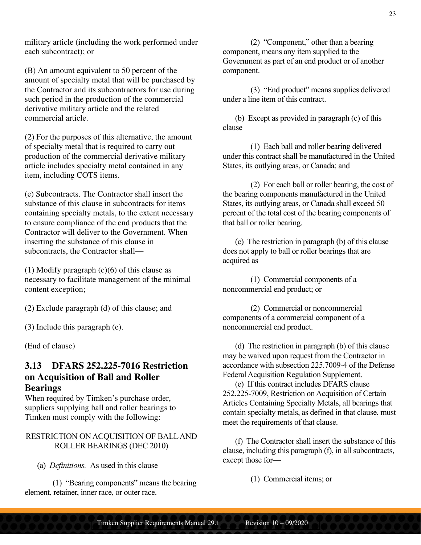military article (including the work performed under each subcontract); or

(B) An amount equivalent to 50 percent of the amount of specialty metal that will be purchased by the Contractor and its subcontractors for use during such period in the production of the commercial derivative military article and the related commercial article.

(2) For the purposes of this alternative, the amount of specialty metal that is required to carry out production of the commercial derivative military article includes specialty metal contained in any item, including COTS items.

(e) Subcontracts. The Contractor shall insert the substance of this clause in subcontracts for items containing specialty metals, to the extent necessary to ensure compliance of the end products that the Contractor will deliver to the Government. When inserting the substance of this clause in subcontracts, the Contractor shall—

(1) Modify paragraph (c)(6) of this clause as necessary to facilitate management of the minimal content exception;

(2) Exclude paragraph (d) of this clause; and

(3) Include this paragraph (e).

(End of clause)

#### **3.13 DFARS 252.225-7016 Restriction on Acquisition of Ball and Roller Bearings**

When required by Timken's purchase order, suppliers supplying ball and roller bearings to Timken must comply with the following:

#### RESTRICTION ON ACQUISITION OF BALL AND ROLLER BEARINGS (DEC 2010)

(a) *Definitions*. As used in this clause—

 (1) "Bearing components" means the bearing element, retainer, inner race, or outer race.

 (2) "Component," other than a bearing component, means any item supplied to the Government as part of an end product or of another component.

 (3) "End product" means supplies delivered under a line item of this contract.

(b) Except as provided in paragraph (c) of this clause—

 (1) Each ball and roller bearing delivered under this contract shall be manufactured in the United States, its outlying areas, or Canada; and

 (2) For each ball or roller bearing, the cost of the bearing components manufactured in the United States, its outlying areas, or Canada shall exceed 50 percent of the total cost of the bearing components of that ball or roller bearing.

(c) The restriction in paragraph (b) of this clause does not apply to ball or roller bearings that are acquired as—

 (1) Commercial components of a noncommercial end product; or

 (2) Commercial or noncommercial components of a commercial component of a noncommercial end product.

(d) The restriction in paragraph (b) of this clause may be waived upon request from the Contractor in accordance with subsection [225.7009-4](http://www.acq.osd.mil/dpap/dars/dfars/html/current/225_70.htm#225.7009-4) of the Defense Federal Acquisition Regulation Supplement.

(e) If this contract includes DFARS clause 252.225-7009, Restriction on Acquisition of Certain Articles Containing Specialty Metals, all bearings that contain specialty metals, as defined in that clause, must meet the requirements of that clause.

(f) The Contractor shall insert the substance of this clause, including this paragraph (f), in all subcontracts, except those for—

(1) Commercial items; or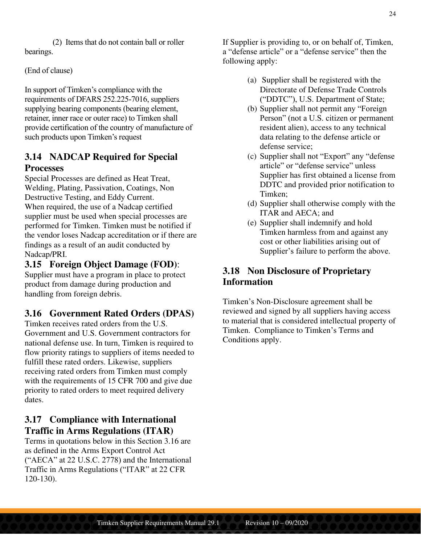(2) Items that do not contain ball or roller bearings.

(End of clause)

In support of Timken's compliance with the requirements of DFARS 252.225-7016, suppliers supplying bearing components (bearing element, retainer, inner race or outer race) to Timken shall provide certification of the country of manufacture of such products upon Timken's request

#### **3.14 NADCAP Required for Special Processes**

Special Processes are defined as Heat Treat, Welding, Plating, Passivation, Coatings, Non Destructive Testing, and Eddy Current. When required, the use of a Nadcap certified supplier must be used when special processes are performed for Timken. Timken must be notified if the vendor loses Nadcap accreditation or if there are findings as a result of an audit conducted by Nadcap/PRI.

#### **3.15 Foreign Object Damage (FOD)**:

Supplier must have a program in place to protect product from damage during production and handling from foreign debris.

#### **3.16 Government Rated Orders (DPAS)**

Timken receives rated orders from the U.S. Government and U.S. Government contractors for national defense use. In turn, Timken is required to flow priority ratings to suppliers of items needed to fulfill these rated orders. Likewise, suppliers receiving rated orders from Timken must comply with the requirements of 15 CFR 700 and give due priority to rated orders to meet required delivery dates.

#### **3.17 Compliance with International Traffic in Arms Regulations (ITAR)**

Terms in quotations below in this Section 3.16 are as defined in the Arms Export Control Act ("AECA" at 22 U.S.C. 2778) and the International Traffic in Arms Regulations ("ITAR" at 22 CFR 120-130).

If Supplier is providing to, or on behalf of, Timken, a "defense article" or a "defense service" then the following apply:

- (a) Supplier shall be registered with the Directorate of Defense Trade Controls ("DDTC"), U.S. Department of State;
- (b) Supplier shall not permit any "Foreign Person" (not a U.S. citizen or permanent resident alien), access to any technical data relating to the defense article or defense service;
- (c) Supplier shall not "Export" any "defense article" or "defense service" unless Supplier has first obtained a license from DDTC and provided prior notification to Timken;
- (d) Supplier shall otherwise comply with the ITAR and AECA; and
- (e) Supplier shall indemnify and hold Timken harmless from and against any cost or other liabilities arising out of Supplier's failure to perform the above.

#### **3.18 Non Disclosure of Proprietary Information**

Timken's Non-Disclosure agreement shall be reviewed and signed by all suppliers having access to material that is considered intellectual property of Timken. Compliance to Timken's Terms and Conditions apply. Timken Supplier Requirements Manual 29.1 –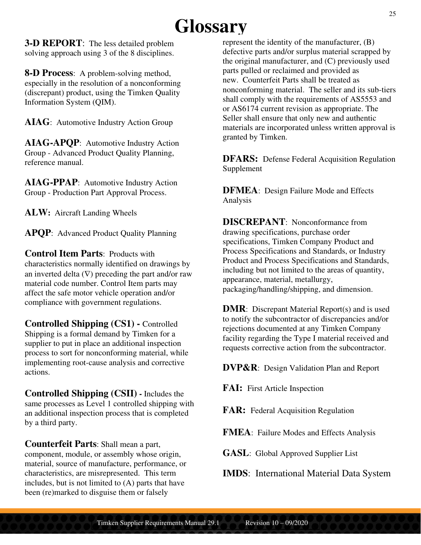## **Glossary**

**3-D REPORT**: The less detailed problem solving approach using 3 of the 8 disciplines.

**8-D Process**: A problem-solving method, especially in the resolution of a nonconforming (discrepant) product, using the Timken Quality Information System (QIM).

**AIAG**: Automotive Industry Action Group

**AIAG-APQP**: Automotive Industry Action Group - Advanced Product Quality Planning, reference manual.

**AIAG-PPAP**: Automotive Industry Action Group - Production Part Approval Process.

**ALW:** Aircraft Landing Wheels

**APQP**: Advanced Product Quality Planning

**Control Item Parts**: Products with characteristics normally identified on drawings by an inverted delta  $(\nabla)$  preceding the part and/or raw material code number. Control Item parts may affect the safe motor vehicle operation and/or compliance with government regulations.

**Controlled Shipping (CS1) -** Controlled Shipping is a formal demand by Timken for a supplier to put in place an additional inspection process to sort for nonconforming material, while implementing root-cause analysis and corrective actions.

**Controlled Shipping (CSII) -** Includes the same processes as Level 1 controlled shipping with an additional inspection process that is completed by a third party.

**Counterfeit Parts**: Shall mean a part, component, module, or assembly whose origin, material, source of manufacture, performance, or characteristics, are misrepresented. This term includes, but is not limited to (A) parts that have been (re)marked to disguise them or falsely

represent the identity of the manufacturer, (B) defective parts and/or surplus material scrapped by the original manufacturer, and (C) previously used parts pulled or reclaimed and provided as new. Counterfeit Parts shall be treated as nonconforming material. The seller and its sub-tiers shall comply with the requirements of AS5553 and or AS6174 current revision as appropriate. The Seller shall ensure that only new and authentic materials are incorporated unless written approval is granted by Timken.

**DFARS:** Defense Federal Acquisition Regulation Supplement

**DFMEA**: Design Failure Mode and Effects Analysis

**DISCREPANT**: Nonconformance from drawing specifications, purchase order specifications, Timken Company Product and Process Specifications and Standards, or Industry Product and Process Specifications and Standards, including but not limited to the areas of quantity, appearance, material, metallurgy, packaging/handling/shipping, and dimension.

**DMR**: Discrepant Material Report(s) and is used to notify the subcontractor of discrepancies and/or rejections documented at any Timken Company facility regarding the Type I material received and requests corrective action from the subcontractor.

**DVP&R**: Design Validation Plan and Report

**FAI:** First Article Inspection

**FAR:** Federal Acquisition Regulation

**FMEA**: Failure Modes and Effects Analysis

**GASL**: Global Approved Supplier List

**IMDS**: International Material Data System